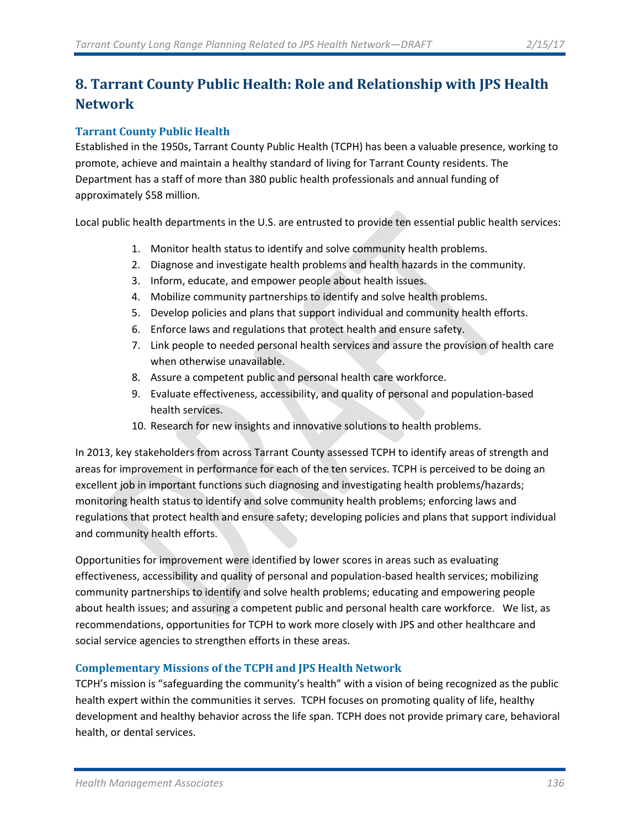# **8. Tarrant County Public Health: Role and Relationship with JPS Health Network**

## **Tarrant County Public Health**

Established in the 1950s, Tarrant County Public Health (TCPH) has been a valuable presence, working to promote, achieve and maintain a healthy standard of living for Tarrant County residents. The Department has a staff of more than 380 public health professionals and annual funding of approximately \$58 million.

Local public health departments in the U.S. are entrusted to provide ten essential public health services:

- 1. Monitor health status to identify and solve community health problems.
- 2. Diagnose and investigate health problems and health hazards in the community.
- 3. Inform, educate, and empower people about health issues.
- 4. Mobilize community partnerships to identify and solve health problems.
- 5. Develop policies and plans that support individual and community health efforts.
- 6. Enforce laws and regulations that protect health and ensure safety.
- 7. Link people to needed personal health services and assure the provision of health care when otherwise unavailable.
- 8. Assure a competent public and personal health care workforce.
- 9. Evaluate effectiveness, accessibility, and quality of personal and population-based health services.
- 10. Research for new insights and innovative solutions to health problems.

In 2013, key stakeholders from across Tarrant County assessed TCPH to identify areas of strength and areas for improvement in performance for each of the ten services. TCPH is perceived to be doing an excellent job in important functions such diagnosing and investigating health problems/hazards; monitoring health status to identify and solve community health problems; enforcing laws and regulations that protect health and ensure safety; developing policies and plans that support individual and community health efforts.

Opportunities for improvement were identified by lower scores in areas such as evaluating effectiveness, accessibility and quality of personal and population-based health services; mobilizing community partnerships to identify and solve health problems; educating and empowering people about health issues; and assuring a competent public and personal health care workforce. We list, as recommendations, opportunities for TCPH to work more closely with JPS and other healthcare and social service agencies to strengthen efforts in these areas.

## **Complementary Missions of the TCPH and JPS Health Network**

TCPH's mission is "safeguarding the community's health" with a vision of being recognized as the public health expert within the communities it serves. TCPH focuses on promoting quality of life, healthy development and healthy behavior across the life span. TCPH does not provide primary care, behavioral health, or dental services.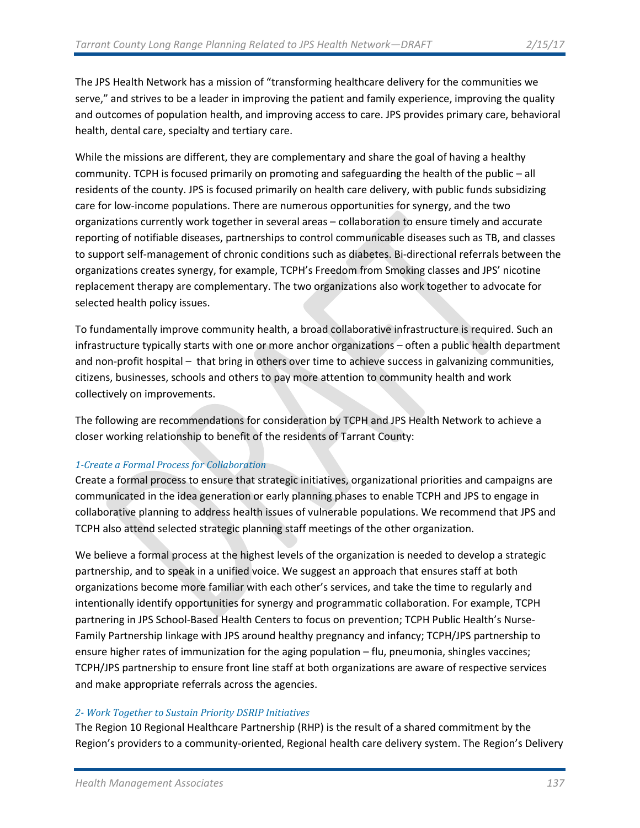The JPS Health Network has a mission of "transforming healthcare delivery for the communities we serve," and strives to be a leader in improving the patient and family experience, improving the quality and outcomes of population health, and improving access to care. JPS provides primary care, behavioral health, dental care, specialty and tertiary care.

While the missions are different, they are complementary and share the goal of having a healthy community. TCPH is focused primarily on promoting and safeguarding the health of the public – all residents of the county. JPS is focused primarily on health care delivery, with public funds subsidizing care for low-income populations. There are numerous opportunities for synergy, and the two organizations currently work together in several areas – collaboration to ensure timely and accurate reporting of notifiable diseases, partnerships to control communicable diseases such as TB, and classes to support self-management of chronic conditions such as diabetes. Bi-directional referrals between the organizations creates synergy, for example, TCPH's Freedom from Smoking classes and JPS' nicotine replacement therapy are complementary. The two organizations also work together to advocate for selected health policy issues.

To fundamentally improve community health, a broad collaborative infrastructure is required. Such an infrastructure typically starts with one or more anchor organizations – often a public health department and non-profit hospital – that bring in others over time to achieve success in galvanizing communities, citizens, businesses, schools and others to pay more attention to community health and work collectively on improvements.

The following are recommendations for consideration by TCPH and JPS Health Network to achieve a closer working relationship to benefit of the residents of Tarrant County:

#### *1-Create a Formal Process for Collaboration*

Create a formal process to ensure that strategic initiatives, organizational priorities and campaigns are communicated in the idea generation or early planning phases to enable TCPH and JPS to engage in collaborative planning to address health issues of vulnerable populations. We recommend that JPS and TCPH also attend selected strategic planning staff meetings of the other organization.

We believe a formal process at the highest levels of the organization is needed to develop a strategic partnership, and to speak in a unified voice. We suggest an approach that ensures staff at both organizations become more familiar with each other's services, and take the time to regularly and intentionally identify opportunities for synergy and programmatic collaboration. For example, TCPH partnering in JPS School-Based Health Centers to focus on prevention; TCPH Public Health's Nurse-Family Partnership linkage with JPS around healthy pregnancy and infancy; TCPH/JPS partnership to ensure higher rates of immunization for the aging population – flu, pneumonia, shingles vaccines; TCPH/JPS partnership to ensure front line staff at both organizations are aware of respective services and make appropriate referrals across the agencies.

#### *2- Work Together to Sustain Priority DSRIP Initiatives*

The Region 10 Regional Healthcare Partnership (RHP) is the result of a shared commitment by the Region's providers to a community-oriented, Regional health care delivery system. The Region's Delivery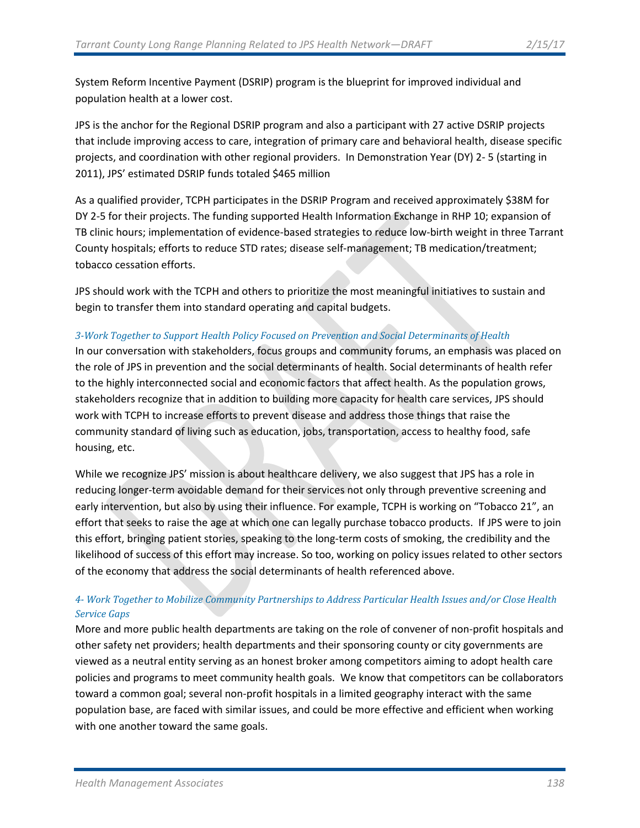System Reform Incentive Payment (DSRIP) program is the blueprint for improved individual and population health at a lower cost.

JPS is the anchor for the Regional DSRIP program and also a participant with 27 active DSRIP projects that include improving access to care, integration of primary care and behavioral health, disease specific projects, and coordination with other regional providers. In Demonstration Year (DY) 2- 5 (starting in 2011), JPS' estimated DSRIP funds totaled \$465 million

As a qualified provider, TCPH participates in the DSRIP Program and received approximately \$38M for DY 2-5 for their projects. The funding supported Health Information Exchange in RHP 10; expansion of TB clinic hours; implementation of evidence-based strategies to reduce low-birth weight in three Tarrant County hospitals; efforts to reduce STD rates; disease self-management; TB medication/treatment; tobacco cessation efforts.

JPS should work with the TCPH and others to prioritize the most meaningful initiatives to sustain and begin to transfer them into standard operating and capital budgets.

#### *3-Work Together to Support Health Policy Focused on Prevention and Social Determinants of Health*

In our conversation with stakeholders, focus groups and community forums, an emphasis was placed on the role of JPS in prevention and the social determinants of health. Social determinants of health refer to the highly interconnected social and economic factors that affect health. As the population grows, stakeholders recognize that in addition to building more capacity for health care services, JPS should work with TCPH to increase efforts to prevent disease and address those things that raise the community standard of living such as education, jobs, transportation, access to healthy food, safe housing, etc.

While we recognize JPS' mission is about healthcare delivery, we also suggest that JPS has a role in reducing longer-term avoidable demand for their services not only through preventive screening and early intervention, but also by using their influence. For example, TCPH is working on "Tobacco 21", an effort that seeks to raise the age at which one can legally purchase tobacco products. If JPS were to join this effort, bringing patient stories, speaking to the long-term costs of smoking, the credibility and the likelihood of success of this effort may increase. So too, working on policy issues related to other sectors of the economy that address the social determinants of health referenced above.

### *4- Work Together to Mobilize Community Partnerships to Address Particular Health Issues and/or Close Health Service Gaps*

More and more public health departments are taking on the role of convener of non-profit hospitals and other safety net providers; health departments and their sponsoring county or city governments are viewed as a neutral entity serving as an honest broker among competitors aiming to adopt health care policies and programs to meet community health goals. We know that competitors can be collaborators toward a common goal; several non-profit hospitals in a limited geography interact with the same population base, are faced with similar issues, and could be more effective and efficient when working with one another toward the same goals.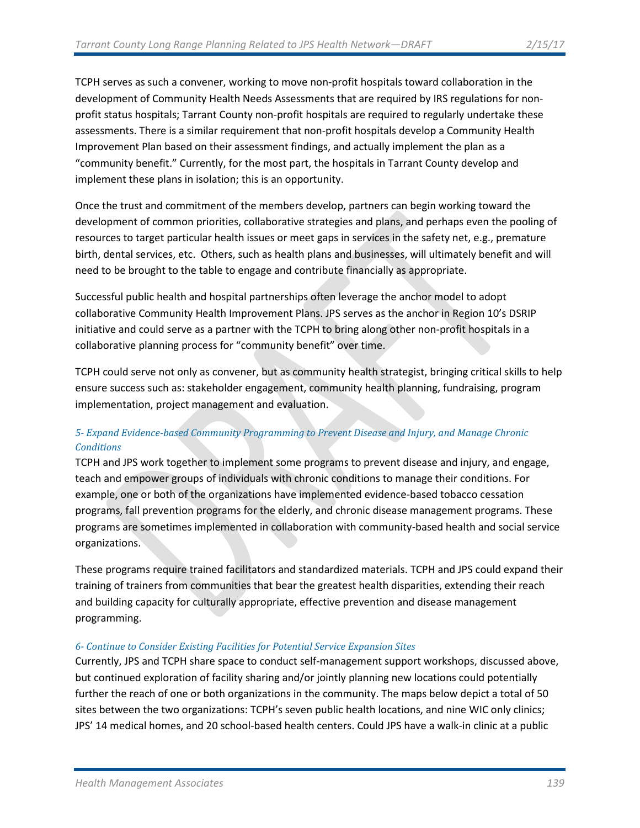TCPH serves as such a convener, working to move non-profit hospitals toward collaboration in the development of Community Health Needs Assessments that are required by IRS regulations for nonprofit status hospitals; Tarrant County non-profit hospitals are required to regularly undertake these assessments. There is a similar requirement that non-profit hospitals develop a Community Health Improvement Plan based on their assessment findings, and actually implement the plan as a "community benefit." Currently, for the most part, the hospitals in Tarrant County develop and implement these plans in isolation; this is an opportunity.

Once the trust and commitment of the members develop, partners can begin working toward the development of common priorities, collaborative strategies and plans, and perhaps even the pooling of resources to target particular health issues or meet gaps in services in the safety net, e.g., premature birth, dental services, etc. Others, such as health plans and businesses, will ultimately benefit and will need to be brought to the table to engage and contribute financially as appropriate.

Successful public health and hospital partnerships often leverage the anchor model to adopt collaborative Community Health Improvement Plans. JPS serves as the anchor in Region 10's DSRIP initiative and could serve as a partner with the TCPH to bring along other non-profit hospitals in a collaborative planning process for "community benefit" over time.

TCPH could serve not only as convener, but as community health strategist, bringing critical skills to help ensure success such as: stakeholder engagement, community health planning, fundraising, program implementation, project management and evaluation.

# *5- Expand Evidence-based Community Programming to Prevent Disease and Injury, and Manage Chronic Conditions*

TCPH and JPS work together to implement some programs to prevent disease and injury, and engage, teach and empower groups of individuals with chronic conditions to manage their conditions. For example, one or both of the organizations have implemented evidence-based tobacco cessation programs, fall prevention programs for the elderly, and chronic disease management programs. These programs are sometimes implemented in collaboration with community-based health and social service organizations.

These programs require trained facilitators and standardized materials. TCPH and JPS could expand their training of trainers from communities that bear the greatest health disparities, extending their reach and building capacity for culturally appropriate, effective prevention and disease management programming.

#### *6- Continue to Consider Existing Facilities for Potential Service Expansion Sites*

Currently, JPS and TCPH share space to conduct self-management support workshops, discussed above, but continued exploration of facility sharing and/or jointly planning new locations could potentially further the reach of one or both organizations in the community. The maps below depict a total of 50 sites between the two organizations: TCPH's seven public health locations, and nine WIC only clinics; JPS' 14 medical homes, and 20 school-based health centers. Could JPS have a walk-in clinic at a public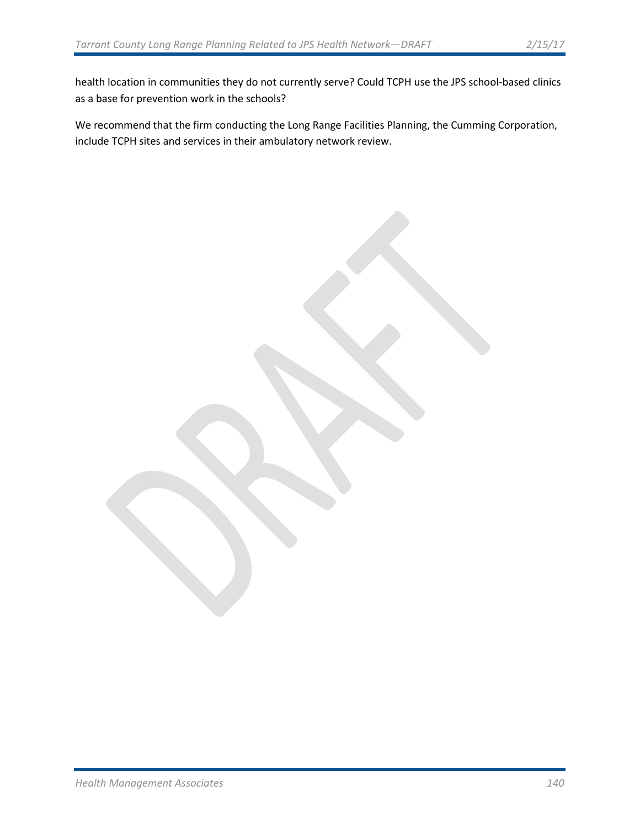health location in communities they do not currently serve? Could TCPH use the JPS school-based clinics as a base for prevention work in the schools?

We recommend that the firm conducting the Long Range Facilities Planning, the Cumming Corporation, include TCPH sites and services in their ambulatory network review.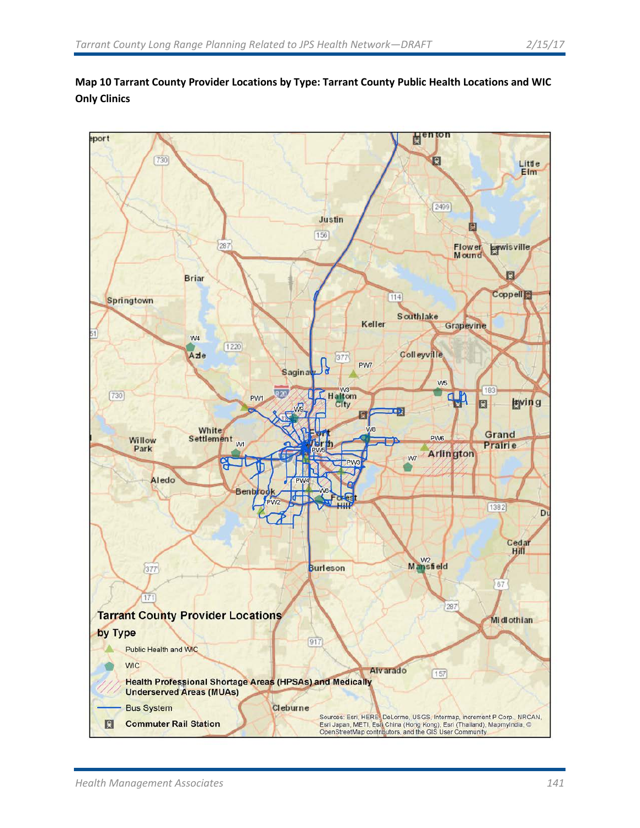

# **Map 10 Tarrant County Provider Locations by Type: Tarrant County Public Health Locations and WIC Only Clinics**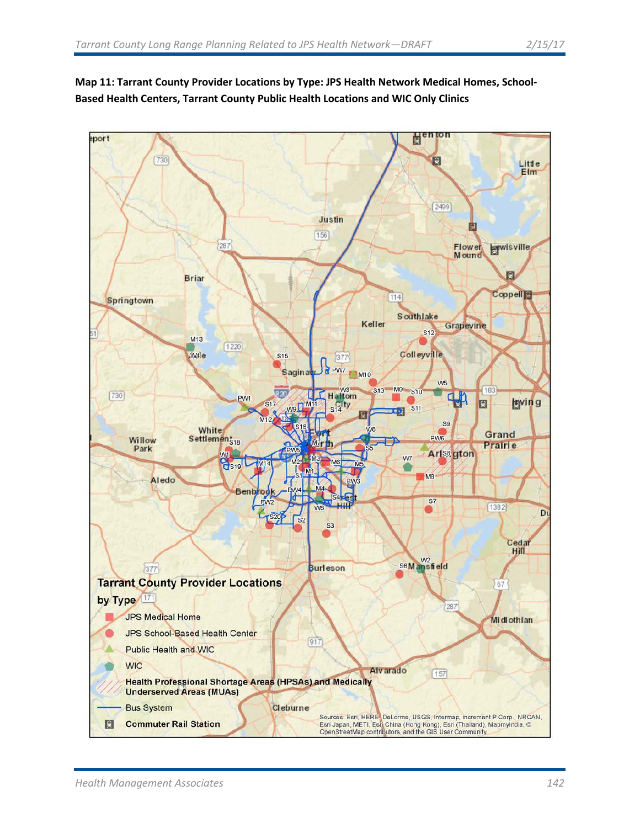

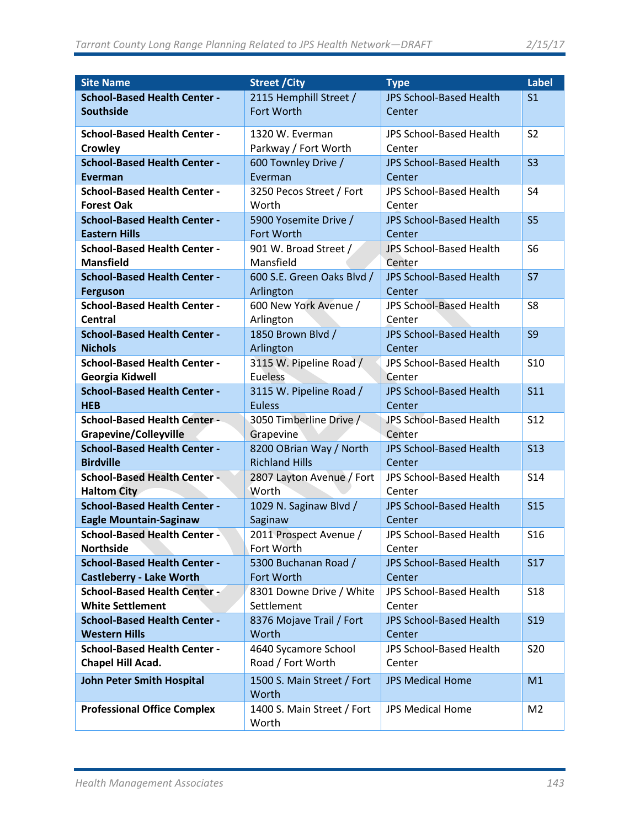| <b>Site Name</b>                    | <b>Street / City</b>       | <b>Type</b>                    | <b>Label</b>    |
|-------------------------------------|----------------------------|--------------------------------|-----------------|
| <b>School-Based Health Center -</b> | 2115 Hemphill Street /     | <b>JPS School-Based Health</b> | S <sub>1</sub>  |
| <b>Southside</b>                    | Fort Worth                 | Center                         |                 |
|                                     |                            |                                |                 |
| <b>School-Based Health Center -</b> | 1320 W. Everman            | <b>JPS School-Based Health</b> | S <sub>2</sub>  |
| <b>Crowley</b>                      | Parkway / Fort Worth       | Center                         |                 |
| <b>School-Based Health Center -</b> | 600 Townley Drive /        | <b>JPS School-Based Health</b> | S <sub>3</sub>  |
| Everman                             | Everman                    | Center                         |                 |
| <b>School-Based Health Center -</b> | 3250 Pecos Street / Fort   | JPS School-Based Health        | S <sub>4</sub>  |
| <b>Forest Oak</b>                   | Worth                      | Center                         |                 |
| <b>School-Based Health Center -</b> | 5900 Yosemite Drive /      | <b>JPS School-Based Health</b> | S <sub>5</sub>  |
| <b>Eastern Hills</b>                | Fort Worth                 | Center                         |                 |
| <b>School-Based Health Center -</b> | 901 W. Broad Street /      | JPS School-Based Health        | S <sub>6</sub>  |
| <b>Mansfield</b>                    | Mansfield                  | Center                         |                 |
| <b>School-Based Health Center -</b> | 600 S.E. Green Oaks Blvd / | <b>JPS School-Based Health</b> | <b>S7</b>       |
| <b>Ferguson</b>                     | Arlington                  | Center                         |                 |
| <b>School-Based Health Center -</b> | 600 New York Avenue /      | JPS School-Based Health        | S <sub>8</sub>  |
| <b>Central</b>                      | Arlington                  | Center                         |                 |
| <b>School-Based Health Center -</b> | 1850 Brown Blvd /          | <b>JPS School-Based Health</b> | <b>S9</b>       |
| <b>Nichols</b>                      | Arlington                  | Center                         |                 |
| <b>School-Based Health Center -</b> | 3115 W. Pipeline Road /    | JPS School-Based Health        | <b>S10</b>      |
| Georgia Kidwell                     | <b>Eueless</b>             | Center                         |                 |
| <b>School-Based Health Center -</b> | 3115 W. Pipeline Road /    | <b>JPS School-Based Health</b> | S <sub>11</sub> |
| <b>HEB</b>                          | <b>Euless</b>              | Center                         |                 |
| <b>School-Based Health Center -</b> | 3050 Timberline Drive /    | JPS School-Based Health        | <b>S12</b>      |
| Grapevine/Colleyville               | Grapevine                  | Center                         |                 |
| <b>School-Based Health Center -</b> | 8200 OBrian Way / North    | <b>JPS School-Based Health</b> | <b>S13</b>      |
| <b>Birdville</b>                    | <b>Richland Hills</b>      | Center                         |                 |
| <b>School-Based Health Center -</b> | 2807 Layton Avenue / Fort  | JPS School-Based Health        | <b>S14</b>      |
| <b>Haltom City</b>                  | Worth                      | Center                         |                 |
| <b>School-Based Health Center -</b> | 1029 N. Saginaw Blvd /     | <b>JPS School-Based Health</b> | <b>S15</b>      |
| <b>Eagle Mountain-Saginaw</b>       | Saginaw                    | Center                         |                 |
| <b>School-Based Health Center -</b> | 2011 Prospect Avenue /     | <b>JPS School-Based Health</b> | <b>S16</b>      |
| <b>Northside</b>                    | Fort Worth                 | Center                         |                 |
| <b>School-Based Health Center -</b> | 5300 Buchanan Road /       | <b>JPS School-Based Health</b> | <b>S17</b>      |
| <b>Castleberry - Lake Worth</b>     | Fort Worth                 | Center                         |                 |
| <b>School-Based Health Center -</b> | 8301 Downe Drive / White   | JPS School-Based Health        | <b>S18</b>      |
| <b>White Settlement</b>             | Settlement                 | Center                         |                 |
| <b>School-Based Health Center -</b> | 8376 Mojave Trail / Fort   | <b>JPS School-Based Health</b> | <b>S19</b>      |
| <b>Western Hills</b>                | Worth                      | Center                         |                 |
| <b>School-Based Health Center -</b> | 4640 Sycamore School       | JPS School-Based Health        | <b>S20</b>      |
| Chapel Hill Acad.                   | Road / Fort Worth          | Center                         |                 |
| <b>John Peter Smith Hospital</b>    | 1500 S. Main Street / Fort | <b>JPS Medical Home</b>        | M1              |
|                                     | Worth                      |                                |                 |
| <b>Professional Office Complex</b>  | 1400 S. Main Street / Fort | <b>JPS Medical Home</b>        | M <sub>2</sub>  |
|                                     | Worth                      |                                |                 |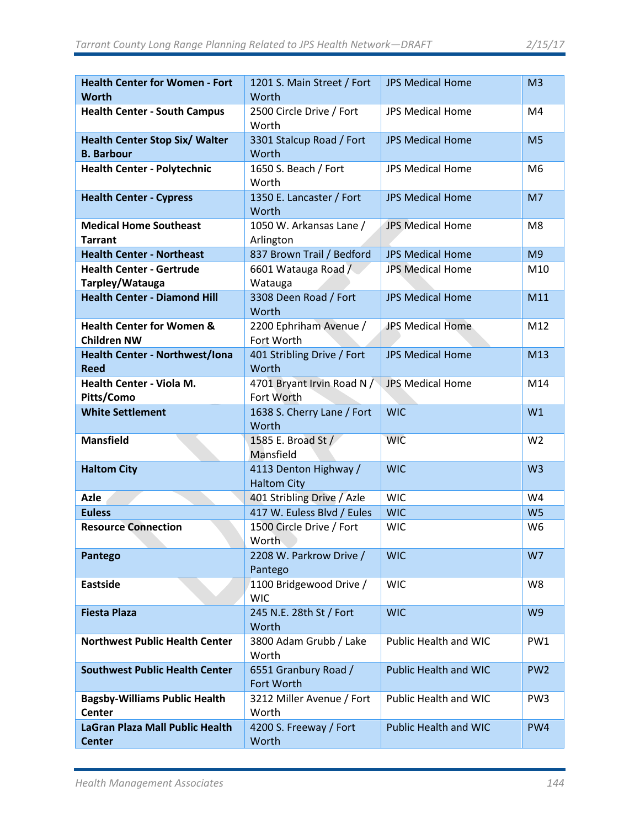| <b>Health Center for Women - Fort</b><br><b>Worth</b>      | 1201 S. Main Street / Fort<br>Worth         | <b>JPS Medical Home</b>      | M <sub>3</sub>  |
|------------------------------------------------------------|---------------------------------------------|------------------------------|-----------------|
| <b>Health Center - South Campus</b>                        | 2500 Circle Drive / Fort<br>Worth           | <b>JPS Medical Home</b>      | M4              |
| <b>Health Center Stop Six/ Walter</b><br><b>B. Barbour</b> | 3301 Stalcup Road / Fort<br>Worth           | <b>JPS Medical Home</b>      | M <sub>5</sub>  |
| <b>Health Center - Polytechnic</b>                         | 1650 S. Beach / Fort<br>Worth               | <b>JPS Medical Home</b>      | M <sub>6</sub>  |
| <b>Health Center - Cypress</b>                             | 1350 E. Lancaster / Fort<br>Worth           | <b>JPS Medical Home</b>      | M7              |
| <b>Medical Home Southeast</b><br><b>Tarrant</b>            | 1050 W. Arkansas Lane /<br>Arlington        | <b>JPS Medical Home</b>      | M <sub>8</sub>  |
| <b>Health Center - Northeast</b>                           | 837 Brown Trail / Bedford                   | <b>JPS Medical Home</b>      | M <sub>9</sub>  |
| <b>Health Center - Gertrude</b><br>Tarpley/Watauga         | 6601 Watauga Road /<br>Watauga              | <b>JPS Medical Home</b>      | M10             |
| <b>Health Center - Diamond Hill</b>                        | 3308 Deen Road / Fort<br>Worth              | <b>JPS Medical Home</b>      | M11             |
| <b>Health Center for Women &amp;</b><br><b>Children NW</b> | 2200 Ephriham Avenue /<br>Fort Worth        | JPS Medical Home             | M12             |
| <b>Health Center - Northwest/Iona</b><br><b>Reed</b>       | 401 Stribling Drive / Fort<br>Worth         | <b>JPS Medical Home</b>      | M13             |
| Health Center - Viola M.<br>Pitts/Como                     | 4701 Bryant Irvin Road N /<br>Fort Worth    | <b>JPS Medical Home</b>      | M14             |
| <b>White Settlement</b>                                    | 1638 S. Cherry Lane / Fort<br>Worth         | <b>WIC</b>                   | W1              |
| <b>Mansfield</b>                                           | 1585 E. Broad St /<br>Mansfield             | <b>WIC</b>                   | W <sub>2</sub>  |
| <b>Haltom City</b>                                         | 4113 Denton Highway /<br><b>Haltom City</b> | <b>WIC</b>                   | W <sub>3</sub>  |
| <b>Azle</b>                                                | 401 Stribling Drive / Azle                  | <b>WIC</b>                   | W4              |
| <b>Euless</b>                                              | 417 W. Euless Blvd / Eules                  | <b>WIC</b>                   | W <sub>5</sub>  |
| <b>Resource Connection</b>                                 | 1500 Circle Drive / Fort<br>Worth           | <b>WIC</b>                   | W <sub>6</sub>  |
| Pantego                                                    | 2208 W. Parkrow Drive /<br>Pantego          | <b>WIC</b>                   | W7              |
| <b>Eastside</b>                                            | 1100 Bridgewood Drive /<br><b>WIC</b>       | <b>WIC</b>                   | W8              |
| <b>Fiesta Plaza</b>                                        | 245 N.E. 28th St / Fort<br>Worth            | <b>WIC</b>                   | W <sub>9</sub>  |
| <b>Northwest Public Health Center</b>                      | 3800 Adam Grubb / Lake<br>Worth             | Public Health and WIC        | PW1             |
| <b>Southwest Public Health Center</b>                      | 6551 Granbury Road /<br>Fort Worth          | <b>Public Health and WIC</b> | PW <sub>2</sub> |
| <b>Bagsby-Williams Public Health</b><br><b>Center</b>      | 3212 Miller Avenue / Fort<br>Worth          | Public Health and WIC        | PW <sub>3</sub> |
| LaGran Plaza Mall Public Health<br><b>Center</b>           | 4200 S. Freeway / Fort<br>Worth             | <b>Public Health and WIC</b> | PW4             |